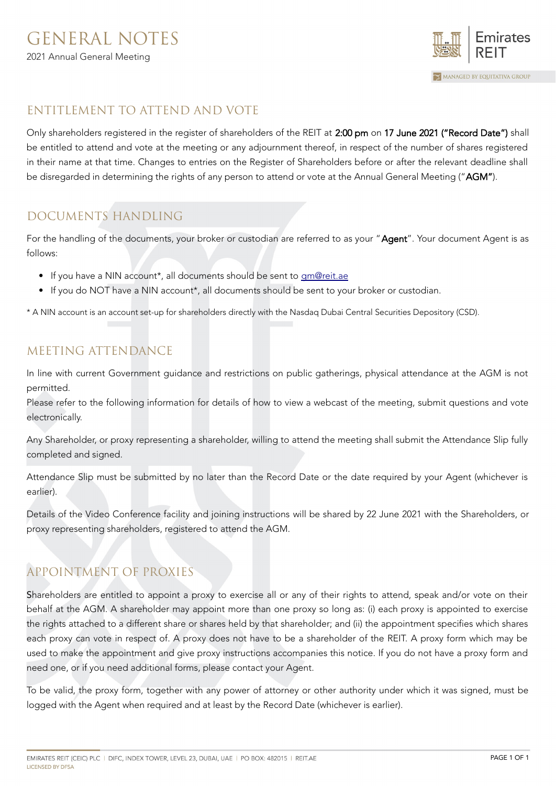

### ENTITLEMENT TO ATTEND AND VOTE

Only shareholders registered in the register of shareholders of the REIT at 2:00 pm on 17 June 2021 ("Record Date") shall be entitled to attend and vote at the meeting or any adjournment thereof, in respect of the number of shares registered in their name at that time. Changes to entries on the Register of Shareholders before or after the relevant deadline shall be disregarded in determining the rights of any person to attend or vote at the Annual General Meeting ("AGM").

# DOCUMENTS HANDLING

For the handling of the documents, your broker or custodian are referred to as your "Agent". Your document Agent is as follows:

- If you have a NIN account\*, all documents should be sent to [gm@reit.ae](mailto:gm@reit.ae)
- If you do NOT have a NIN account\*, all documents should be sent to your broker or custodian.

\* A NIN account is an account set-up for shareholders directly with the Nasdaq Dubai Central Securities Depository (CSD).

## MEETING ATTENDANCE

In line with current Government guidance and restrictions on public gatherings, physical attendance at the AGM is not permitted.

Please refer to the following information for details of how to view a webcast of the meeting, submit questions and vote electronically.

Any Shareholder, or proxy representing a shareholder, willing to attend the meeting shall submit the Attendance Slip fully completed and signed.

Attendance Slip must be submitted by no later than the Record Date or the date required by your Agent (whichever is earlier).

Details of the Video Conference facility and joining instructions will be shared by 22 June 2021 with the Shareholders, or proxy representing shareholders, registered to attend the AGM.

# APPOINTMENT OF PROXIES

Shareholders are entitled to appoint a proxy to exercise all or any of their rights to attend, speak and/or vote on their behalf at the AGM. A shareholder may appoint more than one proxy so long as: (i) each proxy is appointed to exercise the rights attached to a different share or shares held by that shareholder; and (ii) the appointment specifies which shares each proxy can vote in respect of. A proxy does not have to be a shareholder of the REIT. A proxy form which may be used to make the appointment and give proxy instructions accompanies this notice. If you do not have a proxy form and need one, or if you need additional forms, please contact your Agent.

To be valid, the proxy form, together with any power of attorney or other authority under which it was signed, must be logged with the Agent when required and at least by the Record Date (whichever is earlier).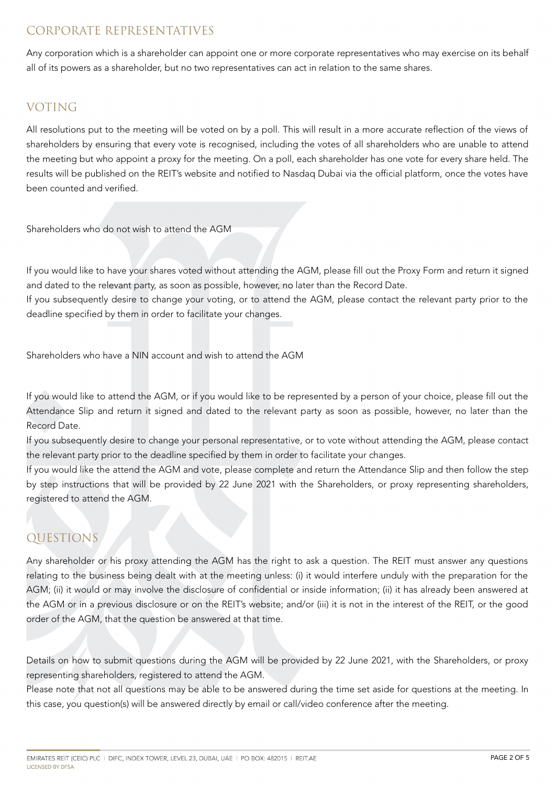### CORPORATE REPRESENTATIVES

Any corporation which is a shareholder can appoint one or more corporate representatives who may exercise on its behalf all of its powers as a shareholder, but no two representatives can act in relation to the same shares.

## VOTING

All resolutions put to the meeting will be voted on by a poll. This will result in a more accurate reflection of the views of shareholders by ensuring that every vote is recognised, including the votes of all shareholders who are unable to attend the meeting but who appoint a proxy for the meeting. On a poll, each shareholder has one vote for every share held. The results will be published on the REIT's website and notified to Nasdaq Dubai via the official platform, once the votes have been counted and verified.

Shareholders who do not wish to attend the AGM

If you would like to have your shares voted without attending the AGM, please fill out the Proxy Form and return it signed and dated to the relevant party, as soon as possible, however, no later than the Record Date.

If you subsequently desire to change your voting, or to attend the AGM, please contact the relevant party prior to the deadline specified by them in order to facilitate your changes.

Shareholders who have a NIN account and wish to attend the AGM

If you would like to attend the AGM, or if you would like to be represented by a person of your choice, please fill out the Attendance Slip and return it signed and dated to the relevant party as soon as possible, however, no later than the Record Date.

If you subsequently desire to change your personal representative, or to vote without attending the AGM, please contact the relevant party prior to the deadline specified by them in order to facilitate your changes.

If you would like the attend the AGM and vote, please complete and return the Attendance Slip and then follow the step by step instructions that will be provided by 22 June 2021 with the Shareholders, or proxy representing shareholders, registered to attend the AGM.

### QUESTIONS

Any shareholder or his proxy attending the AGM has the right to ask a question. The REIT must answer any questions relating to the business being dealt with at the meeting unless: (i) it would interfere unduly with the preparation for the AGM; (ii) it would or may involve the disclosure of confidential or inside information; (ii) it has already been answered at the AGM or in a previous disclosure or on the REIT's website; and/or (iii) it is not in the interest of the REIT, or the good order of the AGM, that the question be answered at that time.

Details on how to submit questions during the AGM will be provided by 22 June 2021, with the Shareholders, or proxy representing shareholders, registered to attend the AGM.

Please note that not all questions may be able to be answered during the time set aside for questions at the meeting. In this case, you question(s) will be answered directly by email or call/video conference after the meeting.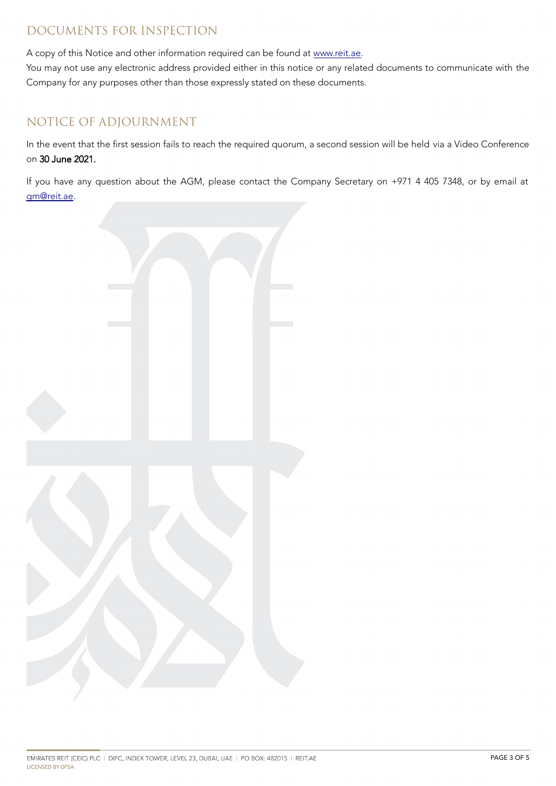### DOCUMENTS FOR INSPECTION

A copy of this Notice and other information required can be found at [www.reit.ae.](http://www.reit.ae/)

You may not use any electronic address provided either in this notice or any related documents to communicate with the Company for any purposes other than those expressly stated on these documents.

### NOTICE OF ADJOURNMENT

In the event that the first session fails to reach the required quorum, a second session will be held via a Video Conference on 30 June 2021.

If you have any question about the AGM, please contact the Company Secretary on +971 4 405 7348, or by email at [gm@reit.ae.](mailto:gm@reit.ae)

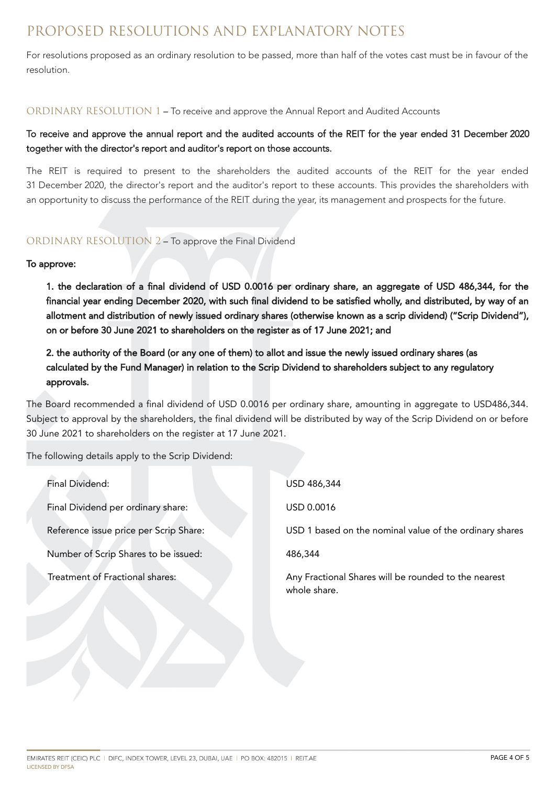# PROPOSED RESOLUTIONS AND EXPLANATORY NOTES

For resolutions proposed as an ordinary resolution to be passed, more than half of the votes cast must be in favour of the resolution.

#### ORDINARY RESOLUTION 1 – To receive and approve the Annual Report and Audited Accounts

### To receive and approve the annual report and the audited accounts of the REIT for the year ended 31 December 2020 together with the director's report and auditor's report on those accounts.

The REIT is required to present to the shareholders the audited accounts of the REIT for the year ended 31 December 2020, the director's report and the auditor's report to these accounts. This provides the shareholders with an opportunity to discuss the performance of the REIT during the year, its management and prospects for the future.

#### ORDINARY RESOLUTION 2 – To approve the Final Dividend

#### To approve:

1. the declaration of a final dividend of USD 0.0016 per ordinary share, an aggregate of USD 486,344, for the financial year ending December 2020, with such final dividend to be satisfied wholly, and distributed, by way of an allotment and distribution of newly issued ordinary shares (otherwise known as a scrip dividend) ("Scrip Dividend"), on or before 30 June 2021 to shareholders on the register as of 17 June 2021; and

2. the authority of the Board (or any one of them) to allot and issue the newly issued ordinary shares (as calculated by the Fund Manager) in relation to the Scrip Dividend to shareholders subject to any regulatory approvals.

The Board recommended a final dividend of USD 0.0016 per ordinary share, amounting in aggregate to USD486,344. Subject to approval by the shareholders, the final dividend will be distributed by way of the Scrip Dividend on or before 30 June 2021 to shareholders on the register at 17 June 2021.

The following details apply to the Scrip Dividend:

| Final Dividend:                        | USD 486,344                                                          |
|----------------------------------------|----------------------------------------------------------------------|
| Final Dividend per ordinary share:     | USD 0.0016                                                           |
| Reference issue price per Scrip Share: | USD 1 based on the nominal value of the ordinary shares              |
| Number of Scrip Shares to be issued:   | 486,344                                                              |
| Treatment of Fractional shares:        | Any Fractional Shares will be rounded to the nearest<br>whole share. |
|                                        |                                                                      |